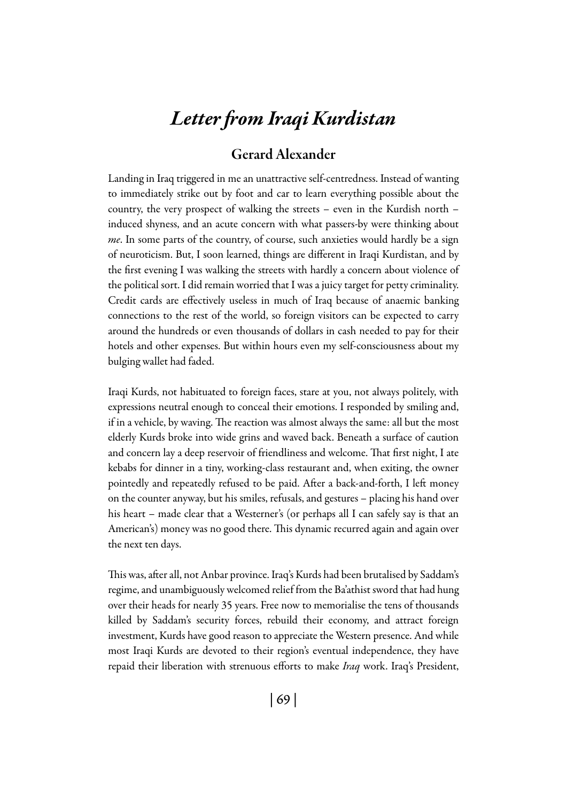## *Letter from Iraqi Kurdistan*

## Gerard Alexander

Landing in Iraq triggered in me an unattractive self-centredness. Instead of wanting to immediately strike out by foot and car to learn everything possible about the country, the very prospect of walking the streets – even in the Kurdish north – induced shyness, and an acute concern with what passers-by were thinking about *me*. In some parts of the country, of course, such anxieties would hardly be a sign of neuroticism. But, I soon learned, things are different in Iraqi Kurdistan, and by the first evening I was walking the streets with hardly a concern about violence of the political sort. I did remain worried that I was a juicy target for petty criminality. Credit cards are effectively useless in much of Iraq because of anaemic banking connections to the rest of the world, so foreign visitors can be expected to carry around the hundreds or even thousands of dollars in cash needed to pay for their hotels and other expenses. But within hours even my self-consciousness about my bulging wallet had faded.

Iraqi Kurds, not habituated to foreign faces, stare at you, not always politely, with expressions neutral enough to conceal their emotions. I responded by smiling and, if in a vehicle, by waving. The reaction was almost always the same: all but the most elderly Kurds broke into wide grins and waved back. Beneath a surface of caution and concern lay a deep reservoir of friendliness and welcome. That first night, I ate kebabs for dinner in a tiny, working-class restaurant and, when exiting, the owner pointedly and repeatedly refused to be paid. After a back-and-forth, I left money on the counter anyway, but his smiles, refusals, and gestures – placing his hand over his heart – made clear that a Westerner's (or perhaps all I can safely say is that an American's) money was no good there. This dynamic recurred again and again over the next ten days.

This was, after all, not Anbar province. Iraq's Kurds had been brutalised by Saddam's regime, and unambiguously welcomed relief from the Ba'athist sword that had hung over their heads for nearly 35 years. Free now to memorialise the tens of thousands killed by Saddam's security forces, rebuild their economy, and attract foreign investment, Kurds have good reason to appreciate the Western presence. And while most Iraqi Kurds are devoted to their region's eventual independence, they have repaid their liberation with strenuous efforts to make *Iraq* work. Iraq's President,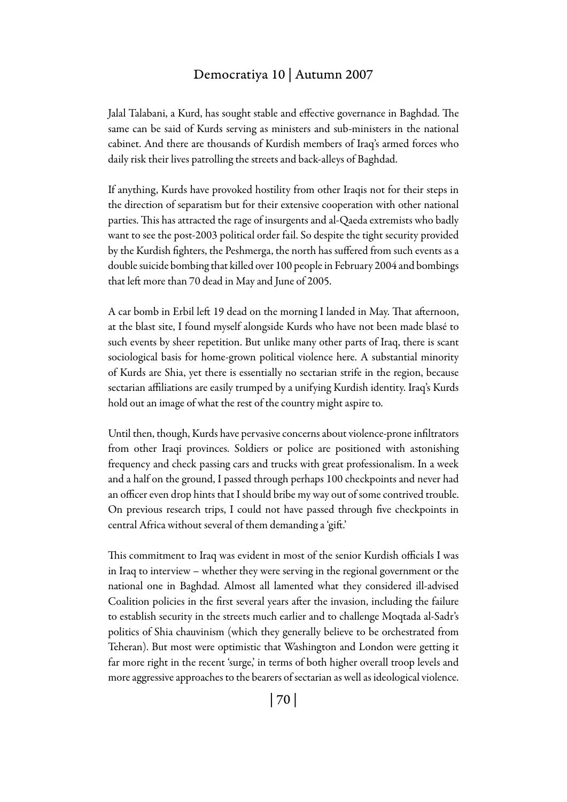## Democratiya 10 | Autumn 2007

Jalal Talabani, a Kurd, has sought stable and effective governance in Baghdad. The same can be said of Kurds serving as ministers and sub-ministers in the national cabinet. And there are thousands of Kurdish members of Iraq's armed forces who daily risk their lives patrolling the streets and back-alleys of Baghdad.

If anything, Kurds have provoked hostility from other Iraqis not for their steps in the direction of separatism but for their extensive cooperation with other national parties. This has attracted the rage of insurgents and al-Qaeda extremists who badly want to see the post-2003 political order fail. So despite the tight security provided by the Kurdish fighters, the Peshmerga, the north has suffered from such events as a double suicide bombing that killed over 100 people in February 2004 and bombings that left more than 70 dead in May and June of 2005.

A car bomb in Erbil left 19 dead on the morning I landed in May. That afternoon, at the blast site, I found myself alongside Kurds who have not been made blasé to such events by sheer repetition. But unlike many other parts of Iraq, there is scant sociological basis for home-grown political violence here. A substantial minority of Kurds are Shia, yet there is essentially no sectarian strife in the region, because sectarian affiliations are easily trumped by a unifying Kurdish identity. Iraq's Kurds hold out an image of what the rest of the country might aspire to.

Until then, though, Kurds have pervasive concerns about violence-prone infiltrators from other Iraqi provinces. Soldiers or police are positioned with astonishing frequency and check passing cars and trucks with great professionalism. In a week and a half on the ground, I passed through perhaps 100 checkpoints and never had an officer even drop hints that I should bribe my way out of some contrived trouble. On previous research trips, I could not have passed through five checkpoints in central Africa without several of them demanding a 'gift.'

This commitment to Iraq was evident in most of the senior Kurdish officials I was in Iraq to interview – whether they were serving in the regional government or the national one in Baghdad. Almost all lamented what they considered ill-advised Coalition policies in the first several years after the invasion, including the failure to establish security in the streets much earlier and to challenge Moqtada al-Sadr's politics of Shia chauvinism (which they generally believe to be orchestrated from Teheran). But most were optimistic that Washington and London were getting it far more right in the recent 'surge,' in terms of both higher overall troop levels and more aggressive approaches to the bearers of sectarian as well as ideological violence.